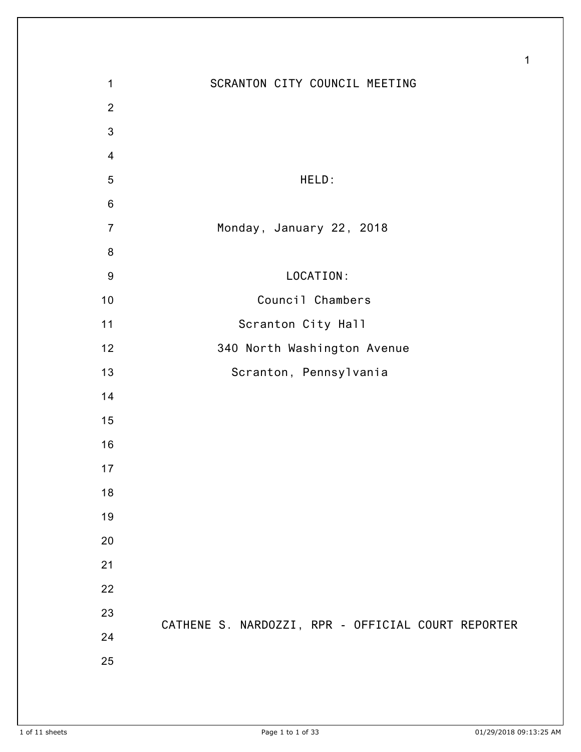| 1                | SCRANTON CITY COUNCIL MEETING                      |
|------------------|----------------------------------------------------|
| $\overline{2}$   |                                                    |
| 3                |                                                    |
| $\overline{4}$   |                                                    |
| 5                | HELD:                                              |
| $\,6$            |                                                    |
| $\overline{7}$   | Monday, January 22, 2018                           |
| 8                |                                                    |
| $\boldsymbol{9}$ | LOCATION:                                          |
| 10               | Council Chambers                                   |
| 11               | Scranton City Hall                                 |
| 12               | 340 North Washington Avenue                        |
| 13               | Scranton, Pennsylvania                             |
| 14               |                                                    |
| 15               |                                                    |
| 16               |                                                    |
| 17               |                                                    |
| 18               |                                                    |
| 19               |                                                    |
| 20               |                                                    |
| 21               |                                                    |
| 22               |                                                    |
| 23               |                                                    |
| 24               | CATHENE S. NARDOZZI, RPR - OFFICIAL COURT REPORTER |
| 25               |                                                    |
|                  |                                                    |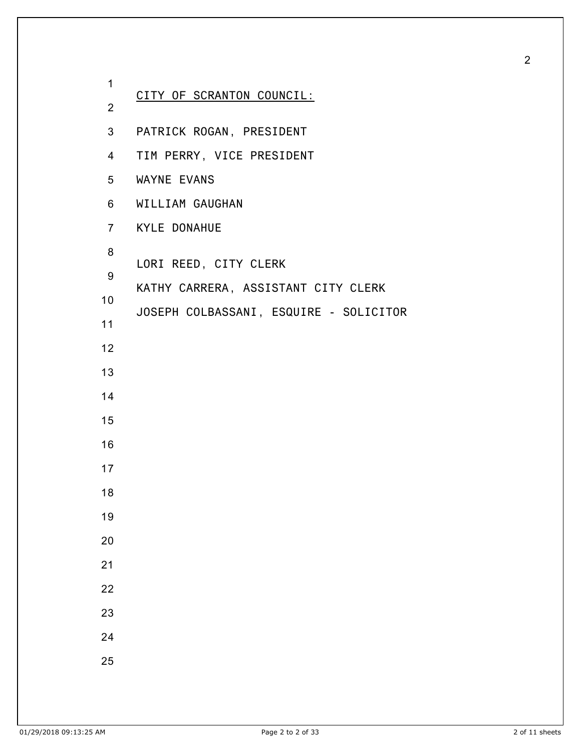| 1               |                                        |
|-----------------|----------------------------------------|
| $\overline{2}$  | CITY OF SCRANTON COUNCIL:              |
|                 | 3 PATRICK ROGAN, PRESIDENT             |
| $4\overline{ }$ | TIM PERRY, VICE PRESIDENT              |
|                 | 5 WAYNE EVANS                          |
|                 | 6 WILLIAM GAUGHAN                      |
|                 | 7 KYLE DONAHUE                         |
| 8               | LORI REED, CITY CLERK                  |
| 9               | KATHY CARRERA, ASSISTANT CITY CLERK    |
| 10 <sub>1</sub> |                                        |
| 11              | JOSEPH COLBASSANI, ESQUIRE - SOLICITOR |
| 12              |                                        |
| 13              |                                        |
| 14              |                                        |
| 15              |                                        |
| 16              |                                        |
| 17              |                                        |
| 18              |                                        |
| 19              |                                        |
| 20              |                                        |
| 21              |                                        |
| 22              |                                        |
| 23              |                                        |
| 24              |                                        |
| 25              |                                        |
|                 |                                        |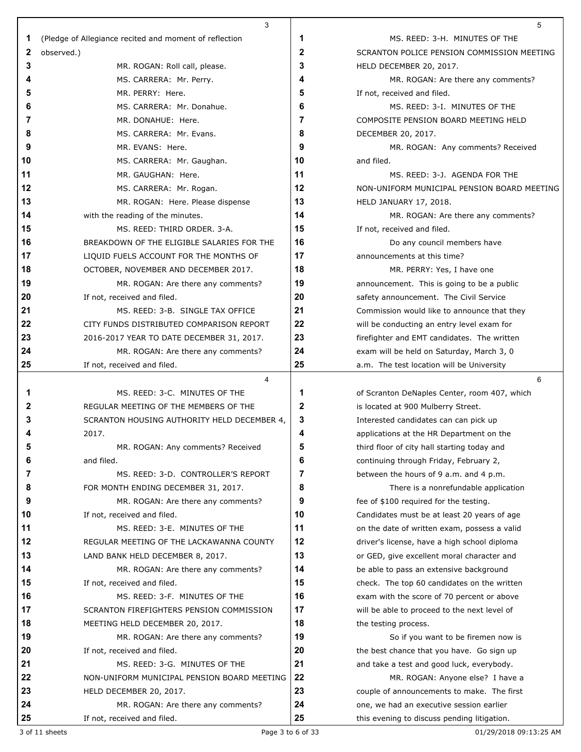|    | 3                                                      |    | 5                                            |
|----|--------------------------------------------------------|----|----------------------------------------------|
| 1  | (Pledge of Allegiance recited and moment of reflection | 1  | MS. REED: 3-H. MINUTES OF THE                |
| 2  | observed.)                                             | 2  | SCRANTON POLICE PENSION COMMISSION MEETING   |
| 3  | MR. ROGAN: Roll call, please.                          | 3  | HELD DECEMBER 20, 2017.                      |
| 4  | MS. CARRERA: Mr. Perry.                                | 4  | MR. ROGAN: Are there any comments?           |
| 5  | MR. PERRY: Here.                                       | 5  | If not, received and filed.                  |
| 6  | MS. CARRERA: Mr. Donahue.                              | 6  | MS. REED: 3-I. MINUTES OF THE                |
| 7  | MR. DONAHUE: Here.                                     | 7  | COMPOSITE PENSION BOARD MEETING HELD         |
| 8  | MS. CARRERA: Mr. Evans.                                | 8  | DECEMBER 20, 2017.                           |
| 9  | MR. EVANS: Here.                                       | 9  | MR. ROGAN: Any comments? Received            |
| 10 | MS. CARRERA: Mr. Gaughan.                              | 10 | and filed.                                   |
| 11 | MR. GAUGHAN: Here.                                     | 11 | MS. REED: 3-J. AGENDA FOR THE                |
| 12 | MS. CARRERA: Mr. Rogan.                                | 12 | NON-UNIFORM MUNICIPAL PENSION BOARD MEETING  |
| 13 | MR. ROGAN: Here. Please dispense                       | 13 | HELD JANUARY 17, 2018.                       |
| 14 | with the reading of the minutes.                       | 14 | MR. ROGAN: Are there any comments?           |
| 15 | MS. REED: THIRD ORDER. 3-A.                            | 15 | If not, received and filed.                  |
| 16 | BREAKDOWN OF THE ELIGIBLE SALARIES FOR THE             | 16 | Do any council members have                  |
| 17 | LIQUID FUELS ACCOUNT FOR THE MONTHS OF                 | 17 | announcements at this time?                  |
| 18 | OCTOBER, NOVEMBER AND DECEMBER 2017.                   | 18 | MR. PERRY: Yes, I have one                   |
| 19 | MR. ROGAN: Are there any comments?                     | 19 | announcement. This is going to be a public   |
| 20 | If not, received and filed.                            | 20 | safety announcement. The Civil Service       |
| 21 | MS. REED: 3-B. SINGLE TAX OFFICE                       | 21 | Commission would like to announce that they  |
| 22 | CITY FUNDS DISTRIBUTED COMPARISON REPORT               | 22 | will be conducting an entry level exam for   |
| 23 | 2016-2017 YEAR TO DATE DECEMBER 31, 2017.              | 23 | firefighter and EMT candidates. The written  |
| 24 | MR. ROGAN: Are there any comments?                     | 24 | exam will be held on Saturday, March 3, 0    |
| 25 | If not, received and filed.                            | 25 | a.m. The test location will be University    |
|    | 4                                                      |    | 6                                            |
| 1  | MS. REED: 3-C. MINUTES OF THE                          | 1  | of Scranton DeNaples Center, room 407, which |
| 2  | REGULAR MEETING OF THE MEMBERS OF THE                  | 2  | is located at 900 Mulberry Street.           |
| 3  | SCRANTON HOUSING AUTHORITY HELD DECEMBER 4,            | 3  | Interested candidates can can pick up        |
|    | 2017.                                                  | 4  | applications at the HR Department on the     |
|    | MR. ROGAN: Any comments? Received                      | Ę  | third floor of city hall starting today and  |
| 6  | and filed.                                             | 6  | continuing through Friday, February 2,       |
| 7  | MS. REED: 3-D. CONTROLLER'S REPORT                     | 7  | between the hours of 9 a.m. and 4 p.m.       |
| 8  | FOR MONTH ENDING DECEMBER 31, 2017.                    | 8  | There is a nonrefundable application         |
| 9  | MR. ROGAN: Are there any comments?                     | 9  | fee of \$100 required for the testing.       |
| 10 | If not, received and filed.                            | 10 | Candidates must be at least 20 years of age  |
| 11 | MS. REED: 3-E. MINUTES OF THE                          | 11 | on the date of written exam, possess a valid |
| 12 | REGULAR MEETING OF THE LACKAWANNA COUNTY               | 12 | driver's license, have a high school diploma |
| 13 | LAND BANK HELD DECEMBER 8, 2017.                       | 13 | or GED, give excellent moral character and   |
| 14 | MR. ROGAN: Are there any comments?                     | 14 | be able to pass an extensive background      |
| 15 | If not, received and filed.                            | 15 | check. The top 60 candidates on the written  |
| 16 | MS. REED: 3-F. MINUTES OF THE                          | 16 | exam with the score of 70 percent or above   |
| 17 | SCRANTON FIREFIGHTERS PENSION COMMISSION               | 17 | will be able to proceed to the next level of |
| 18 | MEETING HELD DECEMBER 20, 2017.                        | 18 | the testing process.                         |
| 19 | MR. ROGAN: Are there any comments?                     | 19 | So if you want to be firemen now is          |
| 20 | If not, received and filed.                            | 20 | the best chance that you have. Go sign up    |
| 21 | MS. REED: 3-G. MINUTES OF THE                          | 21 | and take a test and good luck, everybody.    |
| 22 | NON-UNIFORM MUNICIPAL PENSION BOARD MEETING            | 22 | MR. ROGAN: Anyone else? I have a             |
| 23 | HELD DECEMBER 20, 2017.                                | 23 | couple of announcements to make. The first   |
| 24 | MR. ROGAN: Are there any comments?                     | 24 | one, we had an executive session earlier     |
| 25 | If not, received and filed.                            | 25 | this evening to discuss pending litigation.  |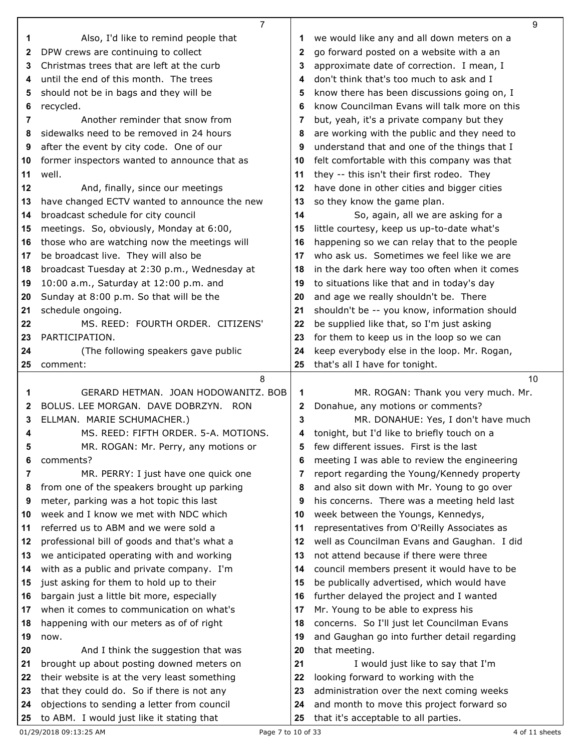|              | $\overline{7}$                                                                           |          | 9                                                                                 |
|--------------|------------------------------------------------------------------------------------------|----------|-----------------------------------------------------------------------------------|
| 1            | Also, I'd like to remind people that                                                     | 1        | we would like any and all down meters on a                                        |
| $\mathbf{2}$ | DPW crews are continuing to collect                                                      | 2        | go forward posted on a website with a an                                          |
| 3            | Christmas trees that are left at the curb                                                | 3        | approximate date of correction. I mean, I                                         |
| 4            | until the end of this month. The trees                                                   | 4        | don't think that's too much to ask and I                                          |
| 5            | should not be in bags and they will be                                                   | 5        | know there has been discussions going on, I                                       |
| 6            | recycled.                                                                                | 6        | know Councilman Evans will talk more on this                                      |
| 7            | Another reminder that snow from                                                          | 7        | but, yeah, it's a private company but they                                        |
| 8            | sidewalks need to be removed in 24 hours                                                 | 8        | are working with the public and they need to                                      |
| 9            | after the event by city code. One of our                                                 | 9        | understand that and one of the things that I                                      |
| 10           | former inspectors wanted to announce that as                                             | 10       | felt comfortable with this company was that                                       |
| 11           | well.                                                                                    | 11       | they -- this isn't their first rodeo. They                                        |
| 12           | And, finally, since our meetings                                                         | 12       | have done in other cities and bigger cities                                       |
| 13           | have changed ECTV wanted to announce the new                                             | 13       | so they know the game plan.                                                       |
| 14           | broadcast schedule for city council                                                      | 14       | So, again, all we are asking for a                                                |
| 15           | meetings. So, obviously, Monday at 6:00,                                                 | 15       | little courtesy, keep us up-to-date what's                                        |
| 16           | those who are watching now the meetings will                                             | 16       | happening so we can relay that to the people                                      |
| 17           | be broadcast live. They will also be                                                     | 17       | who ask us. Sometimes we feel like we are                                         |
| 18           | broadcast Tuesday at 2:30 p.m., Wednesday at                                             | 18       | in the dark here way too often when it comes                                      |
| 19           | 10:00 a.m., Saturday at 12:00 p.m. and                                                   | 19       | to situations like that and in today's day                                        |
| 20           | Sunday at 8:00 p.m. So that will be the                                                  | 20       | and age we really shouldn't be. There                                             |
| 21           | schedule ongoing.                                                                        | 21       | shouldn't be -- you know, information should                                      |
| 22           | MS. REED: FOURTH ORDER. CITIZENS'                                                        | 22       | be supplied like that, so I'm just asking                                         |
| 23           | PARTICIPATION.                                                                           | 23       | for them to keep us in the loop so we can                                         |
| 24           | (The following speakers gave public                                                      | 24       | keep everybody else in the loop. Mr. Rogan,                                       |
| 25           | comment:                                                                                 | 25       | that's all I have for tonight.                                                    |
|              |                                                                                          |          |                                                                                   |
|              | 8                                                                                        |          | 10                                                                                |
| 1            | GERARD HETMAN. JOAN HODOWANITZ. BOB                                                      | 1        | MR. ROGAN: Thank you very much. Mr.                                               |
| 2            | BOLUS. LEE MORGAN. DAVE DOBRZYN. RON                                                     | 2        | Donahue, any motions or comments?                                                 |
| 3            | ELLMAN. MARIE SCHUMACHER.)                                                               | 3        | MR. DONAHUE: Yes, I don't have much                                               |
| 4            | MS. REED: FIFTH ORDER. 5-A. MOTIONS.                                                     | 4        | tonight, but I'd like to briefly touch on a                                       |
| 5            | MR. ROGAN: Mr. Perry, any motions or                                                     | 5        | few different issues. First is the last                                           |
| 6            | comments?                                                                                | 6        | meeting I was able to review the engineering                                      |
| 7            | MR. PERRY: I just have one quick one                                                     | 7        | report regarding the Young/Kennedy property                                       |
| 8            | from one of the speakers brought up parking                                              | 8        | and also sit down with Mr. Young to go over                                       |
| 9            | meter, parking was a hot topic this last                                                 | 9        | his concerns. There was a meeting held last                                       |
| 10           | week and I know we met with NDC which                                                    | 10       | week between the Youngs, Kennedys,                                                |
| 11           | referred us to ABM and we were sold a                                                    | 11       | representatives from O'Reilly Associates as                                       |
| 12           | professional bill of goods and that's what a                                             | 12       | well as Councilman Evans and Gaughan. I did                                       |
| 13           | we anticipated operating with and working                                                | 13       | not attend because if there were three                                            |
| 14           | with as a public and private company. I'm                                                | 14       | council members present it would have to be                                       |
| 15           | just asking for them to hold up to their                                                 | 15       | be publically advertised, which would have                                        |
| 16           | bargain just a little bit more, especially                                               | 16       | further delayed the project and I wanted                                          |
| 17           | when it comes to communication on what's                                                 | 17       | Mr. Young to be able to express his                                               |
| 18           | happening with our meters as of of right                                                 | 18       | concerns. So I'll just let Councilman Evans                                       |
| 19           | now.                                                                                     | 19       | and Gaughan go into further detail regarding                                      |
| 20           | And I think the suggestion that was                                                      | 20       | that meeting.                                                                     |
| 21           | brought up about posting downed meters on                                                | 21       | I would just like to say that I'm                                                 |
| 22           | their website is at the very least something                                             | 22       | looking forward to working with the                                               |
| 23           | that they could do. So if there is not any                                               | 23       | administration over the next coming weeks                                         |
| 24           | objections to sending a letter from council<br>to ABM. I would just like it stating that | 24<br>25 | and month to move this project forward so<br>that it's acceptable to all parties. |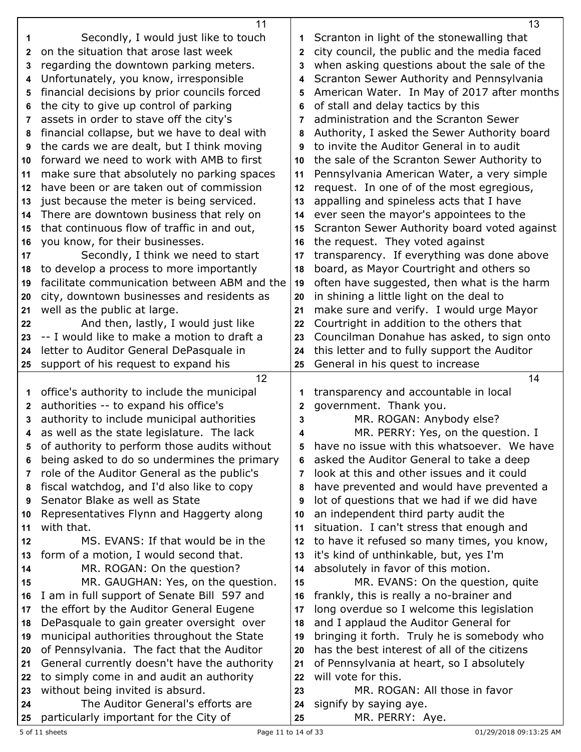|              | 11                                           |              | 13                                           |
|--------------|----------------------------------------------|--------------|----------------------------------------------|
| 1            | Secondly, I would just like to touch         |              | Scranton in light of the stonewalling that   |
| $\mathbf{2}$ | on the situation that arose last week        | $\mathbf{2}$ | city council, the public and the media faced |
| 3            | regarding the downtown parking meters.       | 3            | when asking questions about the sale of the  |
| 4            | Unfortunately, you know, irresponsible       | 4            | Scranton Sewer Authority and Pennsylvania    |
| 5            | financial decisions by prior councils forced | 5            | American Water. In May of 2017 after months  |
| 6            | the city to give up control of parking       | 6            | of stall and delay tactics by this           |
| 7            | assets in order to stave off the city's      | 7            | administration and the Scranton Sewer        |
| 8            | financial collapse, but we have to deal with | 8            | Authority, I asked the Sewer Authority board |
| 9            | the cards we are dealt, but I think moving   | 9            | to invite the Auditor General in to audit    |
| 10           | forward we need to work with AMB to first    | 10           | the sale of the Scranton Sewer Authority to  |
| 11           | make sure that absolutely no parking spaces  | 11           | Pennsylvania American Water, a very simple   |
| 12           | have been or are taken out of commission     | 12           | request. In one of of the most egregious,    |
| 13           | just because the meter is being serviced.    | 13           | appalling and spineless acts that I have     |
| 14           | There are downtown business that rely on     | 14           | ever seen the mayor's appointees to the      |
| 15           | that continuous flow of traffic in and out,  | 15           | Scranton Sewer Authority board voted against |
| 16           | you know, for their businesses.              | 16           | the request. They voted against              |
| 17           | Secondly, I think we need to start           | 17           | transparency. If everything was done above   |
| 18           | to develop a process to more importantly     | 18           | board, as Mayor Courtright and others so     |
| 19           | facilitate communication between ABM and the | 19           | often have suggested, then what is the harm  |
| 20           | city, downtown businesses and residents as   | 20           | in shining a little light on the deal to     |
| 21           | well as the public at large.                 | 21           | make sure and verify. I would urge Mayor     |
| 22           | And then, lastly, I would just like          | 22           | Courtright in addition to the others that    |
| 23           | -- I would like to make a motion to draft a  | 23           | Councilman Donahue has asked, to sign onto   |
| 24           | letter to Auditor General DePasquale in      | 24           | this letter and to fully support the Auditor |
| 25           | support of his request to expand his         | 25           | General in his quest to increase             |
|              |                                              |              |                                              |
|              | 12                                           |              | 14                                           |
| 1            | office's authority to include the municipal  |              | transparency and accountable in local        |
| $\mathbf{2}$ | authorities -- to expand his office's        | $\mathbf{2}$ | government. Thank you.                       |
| 3            | authority to include municipal authorities   | 3            | MR. ROGAN: Anybody else?                     |
| 4            | as well as the state legislature. The lack   | 4            | MR. PERRY: Yes, on the question. I           |
|              | of authority to perform those audits without |              | have no issue with this whatsoever. We have  |
| 6            | being asked to do so undermines the primary  | 6            | asked the Auditor General to take a deep     |
| 7            | role of the Auditor General as the public's  | 7            | look at this and other issues and it could   |
| 8            | fiscal watchdog, and I'd also like to copy   | 8            | have prevented and would have prevented a    |
| 9            | Senator Blake as well as State               | 9            | lot of questions that we had if we did have  |
| 10           | Representatives Flynn and Haggerty along     | 10           | an independent third party audit the         |
| 11           | with that.                                   | 11           | situation. I can't stress that enough and    |
| 12           | MS. EVANS: If that would be in the           | 12           | to have it refused so many times, you know,  |
| 13           | form of a motion, I would second that.       | 13           | it's kind of unthinkable, but, yes I'm       |
| 14           | MR. ROGAN: On the question?                  | 14           | absolutely in favor of this motion.          |
| 15           | MR. GAUGHAN: Yes, on the question.           | 15           | MR. EVANS: On the question, quite            |
| 16           | I am in full support of Senate Bill 597 and  | 16           | frankly, this is really a no-brainer and     |
| 17           | the effort by the Auditor General Eugene     | 17           | long overdue so I welcome this legislation   |
| 18           | DePasquale to gain greater oversight over    | 18           | and I applaud the Auditor General for        |
| 19           | municipal authorities throughout the State   | 19           | bringing it forth. Truly he is somebody who  |
| 20           | of Pennsylvania. The fact that the Auditor   | 20           | has the best interest of all of the citizens |
| 21           | General currently doesn't have the authority | 21           | of Pennsylvania at heart, so I absolutely    |
| 22           | to simply come in and audit an authority     | 22           | will vote for this.                          |
| 23           | without being invited is absurd.             | 23           | MR. ROGAN: All those in favor                |
| 24           | The Auditor General's efforts are            | 24           | signify by saying aye.                       |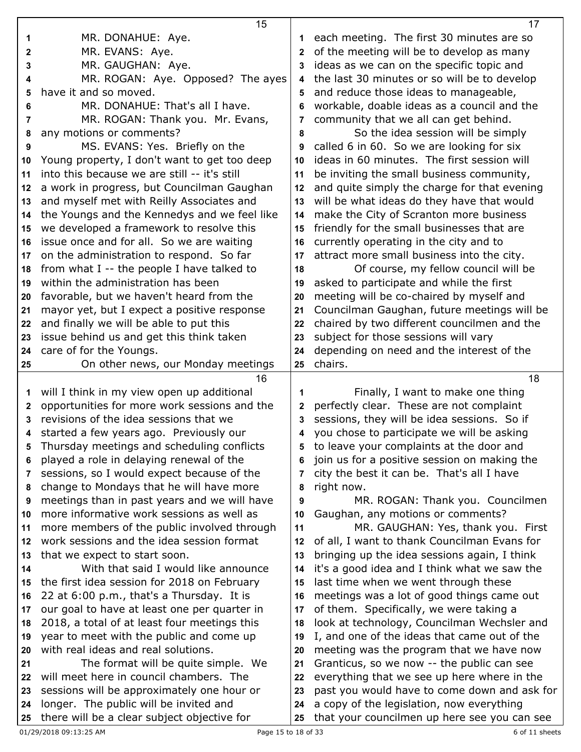|          | 15                                                                                    |              | 17                                                                                        |
|----------|---------------------------------------------------------------------------------------|--------------|-------------------------------------------------------------------------------------------|
| 1        | MR. DONAHUE: Aye.                                                                     | 1            | each meeting. The first 30 minutes are so                                                 |
| 2        | MR. EVANS: Aye.                                                                       | $\mathbf{2}$ | of the meeting will be to develop as many                                                 |
| 3        | MR. GAUGHAN: Aye.                                                                     | 3            | ideas as we can on the specific topic and                                                 |
| 4        | MR. ROGAN: Aye. Opposed? The ayes                                                     | 4            | the last 30 minutes or so will be to develop                                              |
| 5        | have it and so moved.                                                                 | 5            | and reduce those ideas to manageable,                                                     |
| 6        | MR. DONAHUE: That's all I have.                                                       | 6            | workable, doable ideas as a council and the                                               |
| 7        | MR. ROGAN: Thank you. Mr. Evans,                                                      | 7            | community that we all can get behind.                                                     |
| 8        | any motions or comments?                                                              | 8            | So the idea session will be simply                                                        |
| 9        | MS. EVANS: Yes. Briefly on the                                                        | 9            | called 6 in 60. So we are looking for six                                                 |
| 10       | Young property, I don't want to get too deep                                          | 10           | ideas in 60 minutes. The first session will                                               |
| 11       | into this because we are still -- it's still                                          | 11           | be inviting the small business community,                                                 |
| 12       | a work in progress, but Councilman Gaughan                                            | 12           | and quite simply the charge for that evening                                              |
| 13       | and myself met with Reilly Associates and                                             | 13           | will be what ideas do they have that would                                                |
| 14       | the Youngs and the Kennedys and we feel like                                          | 14           | make the City of Scranton more business                                                   |
| 15       | we developed a framework to resolve this                                              | 15           | friendly for the small businesses that are                                                |
| 16       | issue once and for all. So we are waiting                                             | 16           | currently operating in the city and to                                                    |
| 17       | on the administration to respond. So far                                              | 17           | attract more small business into the city.                                                |
| 18       | from what I -- the people I have talked to                                            | 18           | Of course, my fellow council will be                                                      |
| 19       | within the administration has been                                                    | 19           | asked to participate and while the first                                                  |
| 20       | favorable, but we haven't heard from the                                              | 20           | meeting will be co-chaired by myself and                                                  |
| 21       | mayor yet, but I expect a positive response                                           | 21           | Councilman Gaughan, future meetings will be                                               |
| 22       | and finally we will be able to put this                                               | 22           | chaired by two different councilmen and the                                               |
| 23       | issue behind us and get this think taken                                              | 23           | subject for those sessions will vary                                                      |
| 24       | care of for the Youngs.                                                               | 24           | depending on need and the interest of the                                                 |
| 25       | On other news, our Monday meetings                                                    | 25           | chairs.                                                                                   |
|          |                                                                                       |              |                                                                                           |
|          |                                                                                       |              |                                                                                           |
|          | 16                                                                                    |              | 18                                                                                        |
| 1        | will I think in my view open up additional                                            | 1            | Finally, I want to make one thing                                                         |
| 2        | opportunities for more work sessions and the                                          | $\mathbf{2}$ | perfectly clear. These are not complaint                                                  |
| 3        | revisions of the idea sessions that we                                                | 3            | sessions, they will be idea sessions. So if                                               |
| 4        | started a few years ago. Previously our                                               | 4            | you chose to participate we will be asking                                                |
|          | Thursday meetings and scheduling conflicts                                            |              | 5 to leave your complaints at the door and                                                |
| 6        | played a role in delaying renewal of the                                              | 6            | join us for a positive session on making the                                              |
| 7        | sessions, so I would expect because of the                                            | 7            | city the best it can be. That's all I have                                                |
| 8        | change to Mondays that he will have more                                              | 8            | right now.                                                                                |
| 9        | meetings than in past years and we will have                                          | 9            | MR. ROGAN: Thank you. Councilmen                                                          |
| 10       | more informative work sessions as well as                                             | 10           | Gaughan, any motions or comments?                                                         |
| 11       | more members of the public involved through                                           | 11           | MR. GAUGHAN: Yes, thank you. First                                                        |
| 12       | work sessions and the idea session format                                             | 12           | of all, I want to thank Councilman Evans for                                              |
| 13       | that we expect to start soon.                                                         | 13           | bringing up the idea sessions again, I think                                              |
| 14       | With that said I would like announce                                                  | 14           | it's a good idea and I think what we saw the                                              |
| 15       | the first idea session for 2018 on February                                           | 15           | last time when we went through these                                                      |
| 16       | 22 at 6:00 p.m., that's a Thursday. It is                                             | 16           | meetings was a lot of good things came out                                                |
| 17       | our goal to have at least one per quarter in                                          | 17           | of them. Specifically, we were taking a                                                   |
| 18       | 2018, a total of at least four meetings this                                          | 18           | look at technology, Councilman Wechsler and                                               |
| 19       | year to meet with the public and come up                                              | 19           | I, and one of the ideas that came out of the                                              |
| 20       | with real ideas and real solutions.                                                   | 20           | meeting was the program that we have now                                                  |
| 21       | The format will be quite simple. We                                                   | 21           | Granticus, so we now -- the public can see                                                |
| 22       | will meet here in council chambers. The                                               | 22           | everything that we see up here where in the                                               |
| 23       | sessions will be approximately one hour or                                            | 23           | past you would have to come down and ask for                                              |
| 24<br>25 | longer. The public will be invited and<br>there will be a clear subject objective for | 24<br>25     | a copy of the legislation, now everything<br>that your councilmen up here see you can see |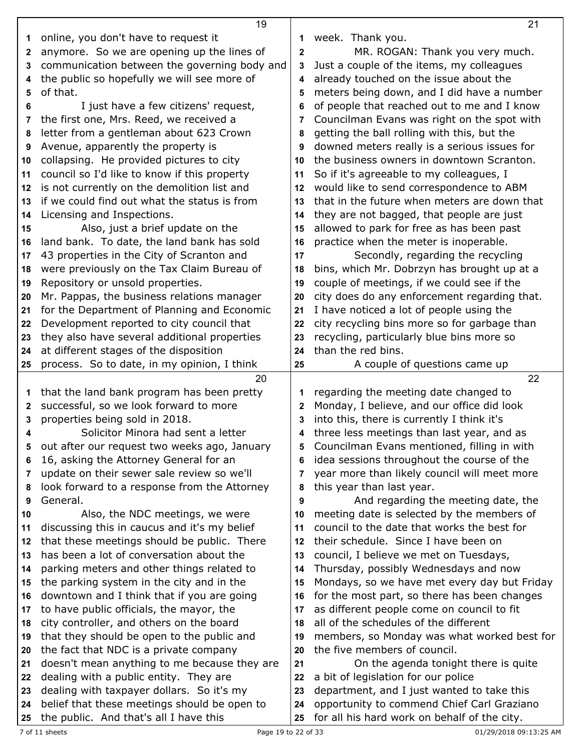|          | 19                                                                                     |              | 21                                                                                         |
|----------|----------------------------------------------------------------------------------------|--------------|--------------------------------------------------------------------------------------------|
| 1        | online, you don't have to request it                                                   | 1            | week. Thank you.                                                                           |
| 2        | anymore. So we are opening up the lines of                                             | $\mathbf 2$  | MR. ROGAN: Thank you very much.                                                            |
| 3        | communication between the governing body and                                           | 3            | Just a couple of the items, my colleagues                                                  |
| 4        | the public so hopefully we will see more of                                            | 4            | already touched on the issue about the                                                     |
| 5        | of that.                                                                               | 5            | meters being down, and I did have a number                                                 |
| 6        | I just have a few citizens' request,                                                   | 6            | of people that reached out to me and I know                                                |
| 7        | the first one, Mrs. Reed, we received a                                                | 7            | Councilman Evans was right on the spot with                                                |
| 8        | letter from a gentleman about 623 Crown                                                | 8            | getting the ball rolling with this, but the                                                |
| 9        | Avenue, apparently the property is                                                     | 9            | downed meters really is a serious issues for                                               |
| 10       | collapsing. He provided pictures to city                                               | 10           | the business owners in downtown Scranton.                                                  |
| 11       | council so I'd like to know if this property                                           | 11           | So if it's agreeable to my colleagues, I                                                   |
| 12       | is not currently on the demolition list and                                            | 12           | would like to send correspondence to ABM                                                   |
| 13       | if we could find out what the status is from                                           | 13           | that in the future when meters are down that                                               |
| 14       | Licensing and Inspections.                                                             | 14           | they are not bagged, that people are just                                                  |
| 15       | Also, just a brief update on the                                                       | 15           | allowed to park for free as has been past                                                  |
| 16       | land bank. To date, the land bank has sold                                             | 16           | practice when the meter is inoperable.                                                     |
| 17       | 43 properties in the City of Scranton and                                              | 17           | Secondly, regarding the recycling                                                          |
| 18       | were previously on the Tax Claim Bureau of                                             | 18           | bins, which Mr. Dobrzyn has brought up at a                                                |
| 19       | Repository or unsold properties.                                                       | 19           | couple of meetings, if we could see if the                                                 |
| 20       | Mr. Pappas, the business relations manager                                             | 20           | city does do any enforcement regarding that.                                               |
| 21       | for the Department of Planning and Economic                                            | 21           | I have noticed a lot of people using the                                                   |
| 22       | Development reported to city council that                                              | 22           | city recycling bins more so for garbage than                                               |
|          | they also have several additional properties                                           | 23           | recycling, particularly blue bins more so                                                  |
| 23       | at different stages of the disposition                                                 | 24           | than the red bins.                                                                         |
| 24       |                                                                                        |              |                                                                                            |
|          |                                                                                        |              |                                                                                            |
| 25       | process. So to date, in my opinion, I think                                            | 25           | A couple of questions came up                                                              |
|          | 20                                                                                     |              | 22                                                                                         |
| 1        | that the land bank program has been pretty                                             | 1            | regarding the meeting date changed to                                                      |
| 2        | successful, so we look forward to more                                                 | $\mathbf{2}$ | Monday, I believe, and our office did look                                                 |
| 3        | properties being sold in 2018.                                                         | 3            | into this, there is currently I think it's                                                 |
| 4        | Solicitor Minora had sent a letter                                                     | 4            | three less meetings than last year, and as                                                 |
|          | out after our request two weeks ago, January                                           |              | Councilman Evans mentioned, filling in with                                                |
| 6        | 16, asking the Attorney General for an                                                 | 6            | idea sessions throughout the course of the                                                 |
| 7        | update on their sewer sale review so we'll                                             | 7            | year more than likely council will meet more                                               |
| 8        | look forward to a response from the Attorney                                           | 8            | this year than last year.                                                                  |
| 9        | General.                                                                               | 9            | And regarding the meeting date, the                                                        |
| 10       | Also, the NDC meetings, we were                                                        | 10           | meeting date is selected by the members of                                                 |
| 11       | discussing this in caucus and it's my belief                                           | 11           | council to the date that works the best for                                                |
| 12       | that these meetings should be public. There                                            | 12           | their schedule. Since I have been on                                                       |
| 13       | has been a lot of conversation about the                                               | 13           | council, I believe we met on Tuesdays,                                                     |
| 14       | parking meters and other things related to                                             | 14           | Thursday, possibly Wednesdays and now                                                      |
| 15       | the parking system in the city and in the                                              | 15           | Mondays, so we have met every day but Friday                                               |
| 16       | downtown and I think that if you are going                                             | 16           | for the most part, so there has been changes                                               |
| 17       | to have public officials, the mayor, the                                               | 17           | as different people come on council to fit                                                 |
| 18       | city controller, and others on the board                                               | 18           | all of the schedules of the different                                                      |
| 19       | that they should be open to the public and                                             | 19           | members, so Monday was what worked best for                                                |
| 20       | the fact that NDC is a private company                                                 | 20           | the five members of council.                                                               |
| 21       | doesn't mean anything to me because they are                                           | 21           | On the agenda tonight there is quite                                                       |
| 22       | dealing with a public entity. They are                                                 | 22           | a bit of legislation for our police                                                        |
| 23       | dealing with taxpayer dollars. So it's my                                              | 23           | department, and I just wanted to take this                                                 |
| 24<br>25 | belief that these meetings should be open to<br>the public. And that's all I have this | 24<br>25     | opportunity to commend Chief Carl Graziano<br>for all his hard work on behalf of the city. |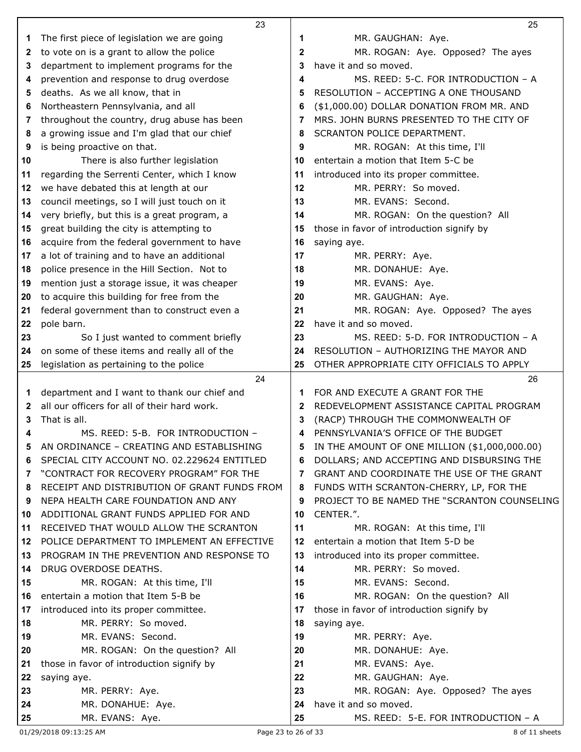|          | 23                                                                                           |          | 25                                                                          |
|----------|----------------------------------------------------------------------------------------------|----------|-----------------------------------------------------------------------------|
| 1        | The first piece of legislation we are going                                                  | 1        | MR. GAUGHAN: Aye.                                                           |
| 2        | to vote on is a grant to allow the police                                                    | 2        | MR. ROGAN: Aye. Opposed? The ayes                                           |
| 3        | department to implement programs for the                                                     | 3        | have it and so moved.                                                       |
| 4        | prevention and response to drug overdose                                                     | 4        | MS. REED: 5-C. FOR INTRODUCTION - A                                         |
| 5        | deaths. As we all know, that in                                                              | 5        | RESOLUTION - ACCEPTING A ONE THOUSAND                                       |
| 6        | Northeastern Pennsylvania, and all                                                           | 6        | (\$1,000.00) DOLLAR DONATION FROM MR. AND                                   |
| 7        | throughout the country, drug abuse has been                                                  | 7        | MRS. JOHN BURNS PRESENTED TO THE CITY OF                                    |
| 8        | a growing issue and I'm glad that our chief                                                  | 8        | SCRANTON POLICE DEPARTMENT.                                                 |
| 9        | is being proactive on that.                                                                  | 9        | MR. ROGAN: At this time, I'll                                               |
| 10       | There is also further legislation                                                            | 10       | entertain a motion that Item 5-C be                                         |
| 11       | regarding the Serrenti Center, which I know                                                  | 11       | introduced into its proper committee.                                       |
| 12       | we have debated this at length at our                                                        | 12       | MR. PERRY: So moved.                                                        |
| 13       | council meetings, so I will just touch on it                                                 | 13       | MR. EVANS: Second.                                                          |
| 14       | very briefly, but this is a great program, a                                                 | 14       | MR. ROGAN: On the question? All                                             |
| 15       | great building the city is attempting to                                                     | 15       | those in favor of introduction signify by                                   |
| 16       | acquire from the federal government to have                                                  | 16       | saying aye.                                                                 |
| 17       | a lot of training and to have an additional                                                  | 17       | MR. PERRY: Aye.                                                             |
| 18       | police presence in the Hill Section. Not to                                                  | 18       | MR. DONAHUE: Aye.                                                           |
| 19       | mention just a storage issue, it was cheaper                                                 | 19       | MR. EVANS: Aye.                                                             |
| 20       | to acquire this building for free from the                                                   | 20       | MR. GAUGHAN: Aye.                                                           |
| 21       | federal government than to construct even a                                                  | 21       | MR. ROGAN: Aye. Opposed? The ayes                                           |
| 22       | pole barn.                                                                                   | 22       | have it and so moved.                                                       |
| 23       | So I just wanted to comment briefly                                                          | 23       | MS. REED: 5-D. FOR INTRODUCTION - A                                         |
| 24       | on some of these items and really all of the                                                 | 24       | RESOLUTION - AUTHORIZING THE MAYOR AND                                      |
| 25       | legislation as pertaining to the police                                                      | 25       | OTHER APPROPRIATE CITY OFFICIALS TO APPLY                                   |
|          | 24                                                                                           |          | 26                                                                          |
| 1        | department and I want to thank our chief and<br>all our officers for all of their hard work. | 1        | FOR AND EXECUTE A GRANT FOR THE<br>REDEVELOPMENT ASSISTANCE CAPITAL PROGRAM |
| 2        | That is all.                                                                                 | 2        | (RACP) THROUGH THE COMMONWEALTH OF                                          |
| 3<br>4   | MS. REED: 5-B. FOR INTRODUCTION -                                                            | 3<br>4   | PENNSYLVANIA'S OFFICE OF THE BUDGET                                         |
|          | AN ORDINANCE - CREATING AND ESTABLISHING                                                     |          | IN THE AMOUNT OF ONE MILLION (\$1,000,000.00)                               |
| 5<br>6   | SPECIAL CITY ACCOUNT NO. 02.229624 ENTITLED                                                  | 6        | DOLLARS; AND ACCEPTING AND DISBURSING THE                                   |
| 7        | "CONTRACT FOR RECOVERY PROGRAM" FOR THE                                                      | 7        | GRANT AND COORDINATE THE USE OF THE GRANT                                   |
| 8        | RECEIPT AND DISTRIBUTION OF GRANT FUNDS FROM                                                 | 8        | FUNDS WITH SCRANTON-CHERRY, LP, FOR THE                                     |
| 9        | NEPA HEALTH CARE FOUNDATION AND ANY                                                          | 9        | PROJECT TO BE NAMED THE "SCRANTON COUNSELING                                |
| 10       | ADDITIONAL GRANT FUNDS APPLIED FOR AND                                                       | 10       | CENTER.".                                                                   |
| 11       | RECEIVED THAT WOULD ALLOW THE SCRANTON                                                       | 11       | MR. ROGAN: At this time, I'll                                               |
| 12       | POLICE DEPARTMENT TO IMPLEMENT AN EFFECTIVE                                                  | 12       | entertain a motion that Item 5-D be                                         |
| 13       | PROGRAM IN THE PREVENTION AND RESPONSE TO                                                    | 13       | introduced into its proper committee.                                       |
| 14       | DRUG OVERDOSE DEATHS.                                                                        | 14       | MR. PERRY: So moved.                                                        |
| 15       | MR. ROGAN: At this time, I'll                                                                | 15       | MR. EVANS: Second.                                                          |
| 16       | entertain a motion that Item 5-B be                                                          | 16       | MR. ROGAN: On the question? All                                             |
| 17       | introduced into its proper committee.                                                        | 17       | those in favor of introduction signify by                                   |
| 18       | MR. PERRY: So moved.                                                                         | 18       | saying aye.                                                                 |
| 19       | MR. EVANS: Second.                                                                           | 19       | MR. PERRY: Aye.                                                             |
| 20       | MR. ROGAN: On the question? All                                                              | 20       | MR. DONAHUE: Aye.                                                           |
| 21       |                                                                                              | 21       | MR. EVANS: Aye.                                                             |
|          | those in favor of introduction signify by                                                    |          |                                                                             |
| 22       | saying aye.                                                                                  | 22       | MR. GAUGHAN: Aye.                                                           |
| 23       | MR. PERRY: Aye.                                                                              | 23       | MR. ROGAN: Aye. Opposed? The ayes                                           |
| 24<br>25 | MR. DONAHUE: Aye.<br>MR. EVANS: Aye.                                                         | 24<br>25 | have it and so moved.<br>MS. REED: 5-E. FOR INTRODUCTION - A                |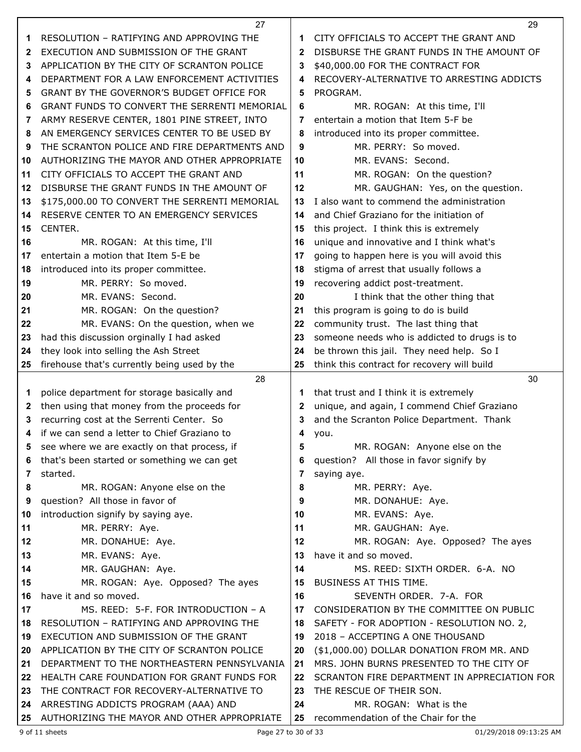|    | 27                                                                                       |              | 29                                                                                       |
|----|------------------------------------------------------------------------------------------|--------------|------------------------------------------------------------------------------------------|
| 1  | RESOLUTION - RATIFYING AND APPROVING THE                                                 | 1            | CITY OFFICIALS TO ACCEPT THE GRANT AND                                                   |
| 2  | EXECUTION AND SUBMISSION OF THE GRANT                                                    | $\mathbf{2}$ | DISBURSE THE GRANT FUNDS IN THE AMOUNT OF                                                |
| 3  | APPLICATION BY THE CITY OF SCRANTON POLICE                                               | 3            | \$40,000.00 FOR THE CONTRACT FOR                                                         |
| 4  | DEPARTMENT FOR A LAW ENFORCEMENT ACTIVITIES                                              | 4            | RECOVERY-ALTERNATIVE TO ARRESTING ADDICTS                                                |
| 5  | GRANT BY THE GOVERNOR'S BUDGET OFFICE FOR                                                | 5            | PROGRAM.                                                                                 |
| 6  | GRANT FUNDS TO CONVERT THE SERRENTI MEMORIAL                                             | 6            | MR. ROGAN: At this time, I'll                                                            |
| 7  | ARMY RESERVE CENTER, 1801 PINE STREET, INTO                                              | 7            | entertain a motion that Item 5-F be                                                      |
| 8  | AN EMERGENCY SERVICES CENTER TO BE USED BY                                               | 8            | introduced into its proper committee.                                                    |
| 9  | THE SCRANTON POLICE AND FIRE DEPARTMENTS AND                                             | 9            | MR. PERRY: So moved.                                                                     |
| 10 | AUTHORIZING THE MAYOR AND OTHER APPROPRIATE                                              | 10           | MR. EVANS: Second.                                                                       |
| 11 | CITY OFFICIALS TO ACCEPT THE GRANT AND                                                   | 11           | MR. ROGAN: On the question?                                                              |
| 12 | DISBURSE THE GRANT FUNDS IN THE AMOUNT OF                                                | 12           | MR. GAUGHAN: Yes, on the question.                                                       |
| 13 | \$175,000.00 TO CONVERT THE SERRENTI MEMORIAL                                            | 13           | I also want to commend the administration                                                |
| 14 | RESERVE CENTER TO AN EMERGENCY SERVICES                                                  | 14           | and Chief Graziano for the initiation of                                                 |
| 15 | CENTER.                                                                                  | 15           | this project. I think this is extremely                                                  |
| 16 | MR. ROGAN: At this time, I'll                                                            | 16           | unique and innovative and I think what's                                                 |
| 17 | entertain a motion that Item 5-E be                                                      | 17           | going to happen here is you will avoid this                                              |
| 18 | introduced into its proper committee.                                                    | 18           | stigma of arrest that usually follows a                                                  |
| 19 | MR. PERRY: So moved.                                                                     | 19           | recovering addict post-treatment.                                                        |
| 20 | MR. EVANS: Second.                                                                       | 20           | I think that the other thing that                                                        |
| 21 | MR. ROGAN: On the question?                                                              | 21           | this program is going to do is build                                                     |
| 22 | MR. EVANS: On the question, when we                                                      | 22           | community trust. The last thing that                                                     |
| 23 | had this discussion orginally I had asked                                                | 23           | someone needs who is addicted to drugs is to                                             |
| 24 | they look into selling the Ash Street                                                    | 24           | be thrown this jail. They need help. So I                                                |
| 25 | firehouse that's currently being used by the                                             | 25           | think this contract for recovery will build                                              |
|    |                                                                                          |              |                                                                                          |
|    | 28                                                                                       |              | 30                                                                                       |
| 1  |                                                                                          | 1            | that trust and I think it is extremely                                                   |
| 2  | police department for storage basically and                                              | 2            |                                                                                          |
| 3  | then using that money from the proceeds for<br>recurring cost at the Serrenti Center. So | 3            | unique, and again, I commend Chief Graziano<br>and the Scranton Police Department. Thank |
| 4  | if we can send a letter to Chief Graziano to                                             | 4            |                                                                                          |
|    |                                                                                          | 5            | you.                                                                                     |
|    | see where we are exactly on that process, if                                             | 6            | MR. ROGAN: Anyone else on the                                                            |
| 7  | that's been started or something we can get<br>started.                                  | 7            | question? All those in favor signify by                                                  |
| 8  |                                                                                          | 8            | saying aye.                                                                              |
| 9  | MR. ROGAN: Anyone else on the                                                            | 9            | MR. PERRY: Aye.                                                                          |
| 10 | question? All those in favor of<br>introduction signify by saying aye.                   | 10           | MR. DONAHUE: Aye.<br>MR. EVANS: Aye.                                                     |
| 11 | MR. PERRY: Aye.                                                                          | 11           | MR. GAUGHAN: Aye.                                                                        |
| 12 | MR. DONAHUE: Aye.                                                                        | 12           | MR. ROGAN: Aye. Opposed? The ayes                                                        |
| 13 | MR. EVANS: Aye.                                                                          | 13           | have it and so moved.                                                                    |
| 14 | MR. GAUGHAN: Aye.                                                                        | 14           | MS. REED: SIXTH ORDER. 6-A. NO                                                           |
| 15 |                                                                                          | 15           | BUSINESS AT THIS TIME.                                                                   |
| 16 | MR. ROGAN: Aye. Opposed? The ayes<br>have it and so moved.                               | 16           | SEVENTH ORDER. 7-A. FOR                                                                  |
| 17 | MS. REED: 5-F. FOR INTRODUCTION - A                                                      | 17           | CONSIDERATION BY THE COMMITTEE ON PUBLIC                                                 |
| 18 | RESOLUTION - RATIFYING AND APPROVING THE                                                 | 18           | SAFETY - FOR ADOPTION - RESOLUTION NO. 2,                                                |
| 19 | EXECUTION AND SUBMISSION OF THE GRANT                                                    | 19           | 2018 - ACCEPTING A ONE THOUSAND                                                          |
| 20 | APPLICATION BY THE CITY OF SCRANTON POLICE                                               | 20           | (\$1,000.00) DOLLAR DONATION FROM MR. AND                                                |
| 21 | DEPARTMENT TO THE NORTHEASTERN PENNSYLVANIA                                              | 21           | MRS. JOHN BURNS PRESENTED TO THE CITY OF                                                 |
| 22 | HEALTH CARE FOUNDATION FOR GRANT FUNDS FOR                                               | 22           | SCRANTON FIRE DEPARTMENT IN APPRECIATION FOR                                             |
| 23 | THE CONTRACT FOR RECOVERY-ALTERNATIVE TO                                                 | 23           | THE RESCUE OF THEIR SON.                                                                 |
| 24 | ARRESTING ADDICTS PROGRAM (AAA) AND                                                      | 24           | MR. ROGAN: What is the                                                                   |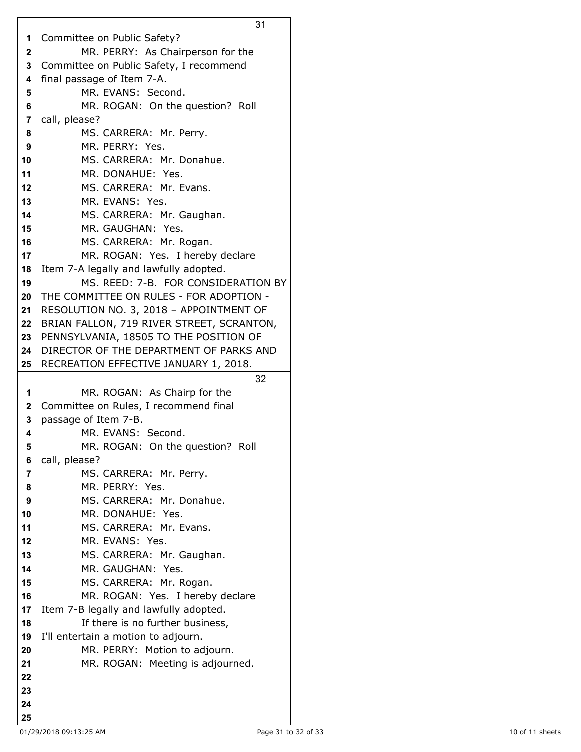Committee on Public Safety? MR. PERRY: As Chairperson for the Committee on Public Safety, I recommend final passage of Item 7-A. MR. EVANS: Second. MR. ROGAN: On the question? Roll call, please? MS. CARRERA: Mr. Perry. MR. PERRY: Yes. MS. CARRERA: Mr. Donahue. MR. DONAHUE: Yes. MS. CARRERA: Mr. Evans. MR. EVANS: Yes. MS. CARRERA: Mr. Gaughan. MR. GAUGHAN: Yes. MS. CARRERA: Mr. Rogan. MR. ROGAN: Yes. I hereby declare Item 7-A legally and lawfully adopted. MS. REED: 7-B. FOR CONSIDERATION BY THE COMMITTEE ON RULES - FOR ADOPTION - RESOLUTION NO. 3, 2018 – APPOINTMENT OF BRIAN FALLON, 719 RIVER STREET, SCRANTON, PENNSYLVANIA, 18505 TO THE POSITION OF DIRECTOR OF THE DEPARTMENT OF PARKS AND RECREATION EFFECTIVE JANUARY 1, 2018. MR. ROGAN: As Chairp for the Committee on Rules, I recommend final passage of Item 7-B. MR. EVANS: Second. MR. ROGAN: On the question? Roll call, please? MS. CARRERA: Mr. Perry. MR. PERRY: Yes. MS. CARRERA: Mr. Donahue. MR. DONAHUE: Yes. MS. CARRERA: Mr. Evans. MR. EVANS: Yes. MS. CARRERA: Mr. Gaughan. MR. GAUGHAN: Yes. MS. CARRERA: Mr. Rogan. MR. ROGAN: Yes. I hereby declare Item 7-B legally and lawfully adopted. If there is no further business, I'll entertain a motion to adjourn. MR. PERRY: Motion to adjourn. MR. ROGAN: Meeting is adjourned.